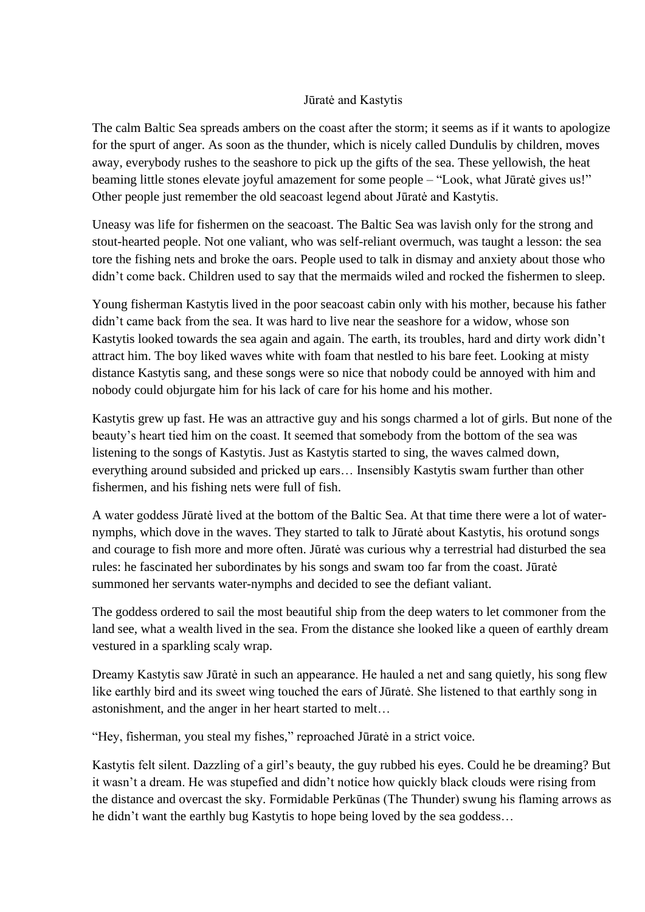## Jūratė and Kastytis

The calm Baltic Sea spreads ambers on the coast after the storm; it seems as if it wants to apologize for the spurt of anger. As soon as the thunder, which is nicely called Dundulis by children, moves away, everybody rushes to the seashore to pick up the gifts of the sea. These yellowish, the heat beaming little stones elevate joyful amazement for some people – "Look, what Jūratė gives us!" Other people just remember the old seacoast legend about Jūratė and Kastytis.

Uneasy was life for fishermen on the seacoast. The Baltic Sea was lavish only for the strong and stout-hearted people. Not one valiant, who was self-reliant overmuch, was taught a lesson: the sea tore the fishing nets and broke the oars. People used to talk in dismay and anxiety about those who didn't come back. Children used to say that the mermaids wiled and rocked the fishermen to sleep.

Young fisherman Kastytis lived in the poor seacoast cabin only with his mother, because his father didn't came back from the sea. It was hard to live near the seashore for a widow, whose son Kastytis looked towards the sea again and again. The earth, its troubles, hard and dirty work didn't attract him. The boy liked waves white with foam that nestled to his bare feet. Looking at misty distance Kastytis sang, and these songs were so nice that nobody could be annoyed with him and nobody could objurgate him for his lack of care for his home and his mother.

Kastytis grew up fast. He was an attractive guy and his songs charmed a lot of girls. But none of the beauty's heart tied him on the coast. It seemed that somebody from the bottom of the sea was listening to the songs of Kastytis. Just as Kastytis started to sing, the waves calmed down, everything around subsided and pricked up ears… Insensibly Kastytis swam further than other fishermen, and his fishing nets were full of fish.

A water goddess Jūratė lived at the bottom of the Baltic Sea. At that time there were a lot of waternymphs, which dove in the waves. They started to talk to Jūratė about Kastytis, his orotund songs and courage to fish more and more often. Jūratė was curious why a terrestrial had disturbed the sea rules: he fascinated her subordinates by his songs and swam too far from the coast. Jūratė summoned her servants water-nymphs and decided to see the defiant valiant.

The goddess ordered to sail the most beautiful ship from the deep waters to let commoner from the land see, what a wealth lived in the sea. From the distance she looked like a queen of earthly dream vestured in a sparkling scaly wrap.

Dreamy Kastytis saw Jūratė in such an appearance. He hauled a net and sang quietly, his song flew like earthly bird and its sweet wing touched the ears of Jūratė. She listened to that earthly song in astonishment, and the anger in her heart started to melt…

"Hey, fisherman, you steal my fishes," reproached Jūratė in a strict voice.

Kastytis felt silent. Dazzling of a girl's beauty, the guy rubbed his eyes. Could he be dreaming? But it wasn't a dream. He was stupefied and didn't notice how quickly black clouds were rising from the distance and overcast the sky. Formidable Perkūnas (The Thunder) swung his flaming arrows as he didn't want the earthly bug Kastytis to hope being loved by the sea goddess…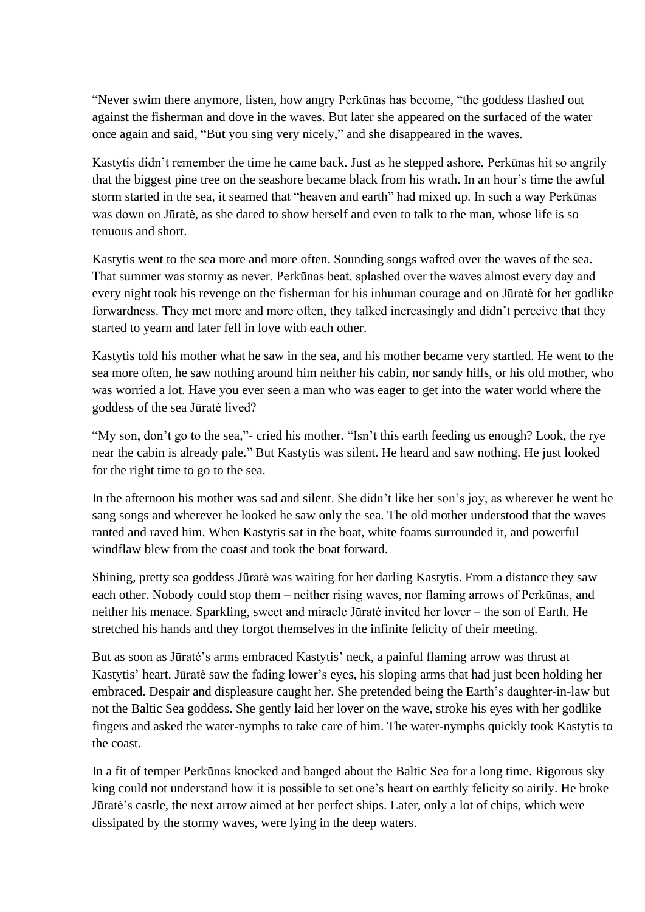"Never swim there anymore, listen, how angry Perkūnas has become, "the goddess flashed out against the fisherman and dove in the waves. But later she appeared on the surfaced of the water once again and said, "But you sing very nicely," and she disappeared in the waves.

Kastytis didn't remember the time he came back. Just as he stepped ashore, Perkūnas hit so angrily that the biggest pine tree on the seashore became black from his wrath. In an hour's time the awful storm started in the sea, it seamed that "heaven and earth" had mixed up. In such a way Perkūnas was down on Jūratė, as she dared to show herself and even to talk to the man, whose life is so tenuous and short.

Kastytis went to the sea more and more often. Sounding songs wafted over the waves of the sea. That summer was stormy as never. Perkūnas beat, splashed over the waves almost every day and every night took his revenge on the fisherman for his inhuman courage and on Jūratė for her godlike forwardness. They met more and more often, they talked increasingly and didn't perceive that they started to yearn and later fell in love with each other.

Kastytis told his mother what he saw in the sea, and his mother became very startled. He went to the sea more often, he saw nothing around him neither his cabin, nor sandy hills, or his old mother, who was worried a lot. Have you ever seen a man who was eager to get into the water world where the goddess of the sea Jūratė lived?

"My son, don't go to the sea,"- cried his mother. "Isn't this earth feeding us enough? Look, the rye near the cabin is already pale." But Kastytis was silent. He heard and saw nothing. He just looked for the right time to go to the sea.

In the afternoon his mother was sad and silent. She didn't like her son's joy, as wherever he went he sang songs and wherever he looked he saw only the sea. The old mother understood that the waves ranted and raved him. When Kastytis sat in the boat, white foams surrounded it, and powerful windflaw blew from the coast and took the boat forward.

Shining, pretty sea goddess Jūratė was waiting for her darling Kastytis. From a distance they saw each other. Nobody could stop them – neither rising waves, nor flaming arrows of Perkūnas, and neither his menace. Sparkling, sweet and miracle Jūratė invited her lover – the son of Earth. He stretched his hands and they forgot themselves in the infinite felicity of their meeting.

But as soon as Jūratė's arms embraced Kastytis' neck, a painful flaming arrow was thrust at Kastytis' heart. Jūratė saw the fading lower's eyes, his sloping arms that had just been holding her embraced. Despair and displeasure caught her. She pretended being the Earth's daughter-in-law but not the Baltic Sea goddess. She gently laid her lover on the wave, stroke his eyes with her godlike fingers and asked the water-nymphs to take care of him. The water-nymphs quickly took Kastytis to the coast.

In a fit of temper Perkūnas knocked and banged about the Baltic Sea for a long time. Rigorous sky king could not understand how it is possible to set one's heart on earthly felicity so airily. He broke Jūratė's castle, the next arrow aimed at her perfect ships. Later, only a lot of chips, which were dissipated by the stormy waves, were lying in the deep waters.